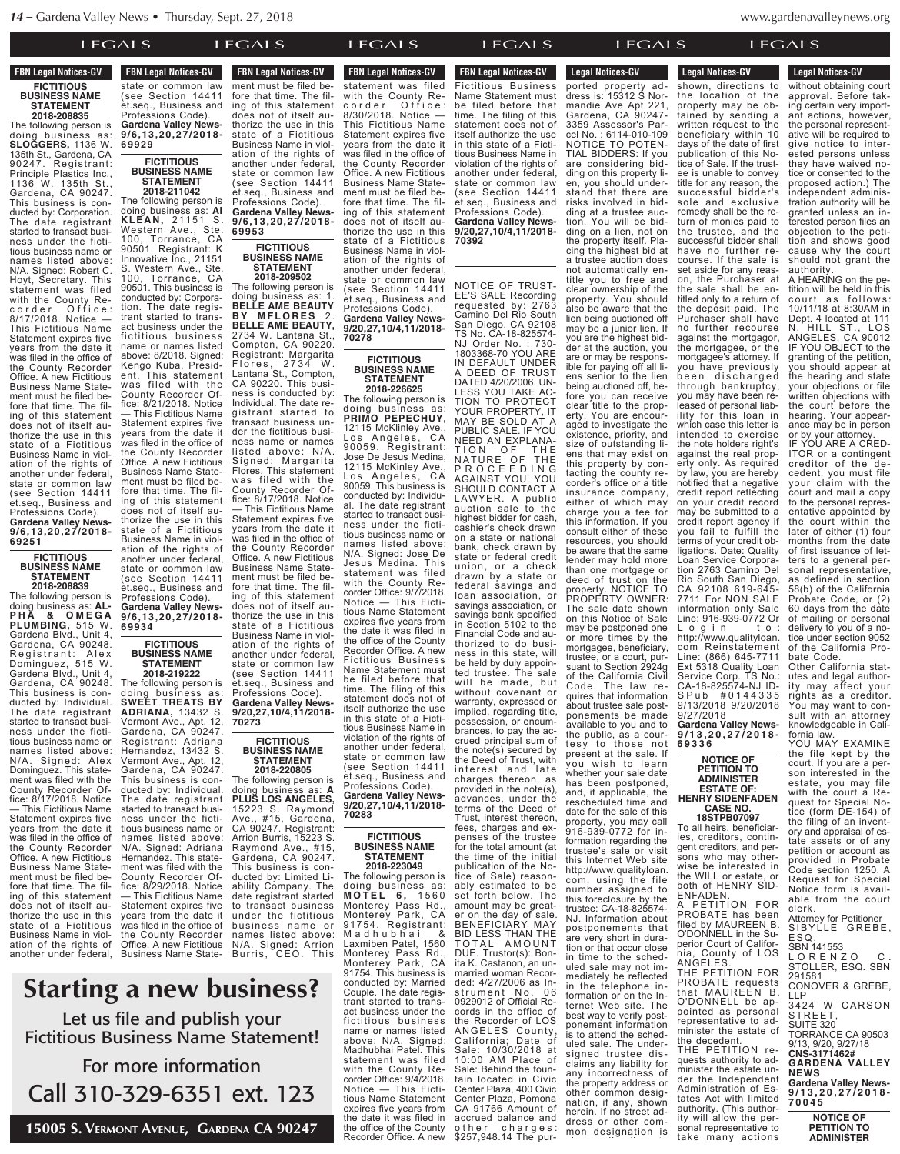Business Name in viol-**FBN Legal Notices-GV FICTITIOUS**

## **BUSINESS NAME STATEMENT 2018-208835**

The following person is doing business as: **SLOGGERS,** 1136 W. 135th St., Gardena, CA 90247. Registrant: Principle Plastics Inc., 1136 W. 135th St., Gardena, CA 90247. This business is conducted by: Corporation. The date registrant started to transact business under the fictitious business name or names listed above: N/A. Signed: Robert C. Hoyt, Secretary. This statement was filed with the County Re-<br>corder Office: corder Office: 8/17/2018. Notice — This Fictitious Name Statement expires five years from the date it was filed in the office of the County Recorder Office. A new Fictitious Business Name Statement must be filed before that time. The filing of this statement does not of itself authorize the use in this state of a Fictitious Business Name in violation of the rights of another under federal, state or common law (see Section 14411 et.seq., Business and

Professions Code). **Gardena Valley News-9/6,13,20,27/2018- 69251**

**FICTITIOUS BUSINESS NAME STATEMENT**

**2018-208839**

The following person is doing business as: **AL-P H A & O M E G A PLUMBING,** 515 W. Gardena Blvd., Unit 4, Gardena, CA 90248. Registrant: Alex Dominguez, 515 W. Gardena Blvd., Unit 4, Gardena, CA 90248. This business is conducted by: Individual. The date registrant started to transact business under the fictitious business name or names listed above:<br>N/A Signed: Alex Signed: Alex Dominguez. This statement was filed with the County Recorder Office: 8/17/2018. Notice — This Fictitious Name Statement expires five years from the date it was filed in the office of the County Recorder Office. A new Fictitious Business Name Statement must be filed before that time. The filing of this statement does not of itself authorize the use in this state of a Fictitious Business Name in violation of the rights of another under federal, state or common law

**FBN Legal Notices-GV TEN LEGAL NULLES-GV** state or common law state Section 14411 et.seg., Business and Professions Code). **Gardena Valley News-9/6,13,20,27/2018- 69929**

 $\lambda$ the use in this the use in this term is the use in this term in this term is the use in this term in the use in the use in the use in the use in the use in the use in the use in the use in the use in the use in the us  $\mathcal{L}$ state of  $\mathcal{L}$ 

## **FICTITIOUS BUSINESS NAME STATEMENT 2018-211042**

The following person is doing business as: **AI KLEAN,** 21151 S. Western Ave., Ste. 100, Torrance, CA 90501. Registrant: K Innovative Inc., 21151 Western Ave., Ste. 100, Torrance, CA 90501. This business is conducted by: Corporation. The date registrant started to transact business under the fictitious business name or names listed above: 8/2018. Signed: Kengo Kuba, President. This statement was filed with the County Recorder Office: 8/21/2018. Notice — This Fictitious Name Statement expires five years from the date it was filed in the office of the County Recorder Office. A new Fictitious Business Name Statement must be filed before that time. The filing of this statement does not of itself authorize the use in this state of a Fictitious Business Name in violation of the rights of another under federal, state or common law (see Section 14411 et.seq., Business and Professions Code). **Gardena Valley News-9/6,13,20,27/2018- 69934 FICTITIOUS**

## **BUSINESS NAME STATEMENT 2018-219222**

The following person is doing business as: **SWEET TREATS BY ADRIANA,** 13432 S. Vermont Ave., Apt. 12, Gardena, CA 90247. Registrant: Adriana Hernandez, 13432 S. Vermont Ave., Apt. 12, Gardena, CA 90247. This business is conducted by: Individual. The date registrant started to transact business under the fictitious business name or names listed above: N/A. Signed: Adriana Hernandez. This statement was filed with the County Recorder Office: 8/29/2018. Notice — This Fictitious Name Statement expires five years from the date it was filed in the office of the County Recorder Office. A new Fictitious Business Name State-

**FBN Legal Notices-GV Business Transference** ment must be filed before that time. The filing of this statement does not of itself authorize the use in this state of a Fictitious Business Name in violation of the rights of another under federal,

> state or common law (see Section 14411 et.seq., Business and Professions Code). **Gardena Valley News-9/6,13,20,27/2018- 69953**

 $\overline{C}$  are  $\overline{C}$  $UAB$  in the orientation in the orientation of  $U$ the County Recorder

## **FICTITIOUS BUSINESS NAME STATEMENT**

**2018-209502** The following person is doing business as: 1. **BELLE AME BEAUTY B Y M F L O R E S** 2 . **BELLE AME BEAUTY,** 2734 W. Lantana St., Compton, CA 90220. Registrant: Margarita Flores, 2734 W. Lantana St., Compton, CA 90220. This business is conducted by: Individual. The date registrant started to transact business under the fictitious business name or names listed above: N/A. Signed: Margarita Flores. This statement was filed with the County Recorder Office: 8/17/2018. Notice — This Fictitious Name Statement expires five years from the date it was filed in the office of the County Recorder Office. A new Fictitious Business Name Statement must be filed before that time. The filing of this statement does not of itself authorize the use in this state of a Fictitious Business Name in violation of the rights of another under federal, state or common law

(see Section 14411 et.seq., Business and Professions Code). **Gardena Valley News-9/20,27,10/4,11/2018- 70273**

### **FICTITIOUS BUSINESS NAME STATEMENT 2018-220805**

The following person is doing business as: **A PLUS LOS ANGELES,** 15223 S. Raymond Ave., #15, Gardena, CA 90247. Registrant: Arrion Burris, 15223 S. Raymond Ave., #15, Gardena, CA 90247. This business is conducted by: Limited Liability Company. The date registrant started to transact business under the fictitious business name or names listed above: N/A. Signed: Arrion Burris, CEO. This

#### **Starting a new business?** Let us file and publish your statement was filed  $\mathbf{r}$  c in o  $\mathbf{c}$   $\mathbf{c}$   $\mathbf{c}$ 19111C99; n your **from the date i**  $m_{\rm m}$ fore that time. The fila now h d liew D state of a Fiction ile and publi (see Section 14411  $\varepsilon$ tautine Professions Code). **Gardena Valley News-9/6,13,20,27/2018-**

Fictitious Business Name Statement! For more information Statement:  $\mathbf{m}$ cinese Name isiriess ivalite noro inform: riore informa

Call 310-329-6351 ext. 123 CAL. IZJ thorize the use in this **Gardena Valley News-**929-0991

15005 S. Vermont Avenue, Gardena CA 90247 ena  $\rm CA$   $90247$ ation of the rights of

**FBN Legal Notices-GV** names listed above: **FURRI S LEGAL NUMBER S , CEO.** statement was filed with the County Recorder Office: 8/30/2018. Notice — This Fictitious Name Statement expires five years from the date it was filed in the office of the County Recorder Office. A new Fictitious Business Name Statement must be filed before that time. The filing of this statement does not of itself authorize the use in this state of a Fictitious Business Name in violation of the rights of another under federal, state or common law (see Section 14411)<br>et.seg., Business and et.seq., Business and Professions Code). **Gardena Valley News-9/20,27,10/4,11/2018- 70278**

to transact business  $UPCAIC$ 

> **FICTITIOUS BUSINESS NAME STATEMENT 2018-226625**

The following person is doing business as: **PRIMO PEPECHUY,** 12115 McKlinley Ave., Los Angeles, CA 90059. Registrant: Jose De Jesus Medina, 12115 McKinley Ave., Los Angeles, CA 90059. This business is conducted by: Individual. The date registrant started to transact business under the fictitious business name or names listed above: N/A. Signed: Jose De Jesus Medina. This statement was filed with the County Recorder Office: 9/7/2018. Notice — This Fictitious Name Statement expires five years from the date it was filed in the office of the County Recorder Office. A new Fictitious Business Name Statement must be filed before that time. The filing of this statement does not of itself authorize the use in this state of a Fictitious Business Name in violation of the rights of another under federal, state or common law (see Section 14411 et.seq., Business and Professions Code). **Gardena Valley News-9/20,27,10/4,11/2018- 70283**

## **FICTITIOUS BUSINESS NAME STATEMENT 2018-223049**

The following person is doing business as: **M O T E L 6 ,** 1 5 6 0 Monterey Pass Rd., Monterey Park, CA 91754. Registrant: M a d h u b h a i & Laxmiben Patel, 1560 Monterey Pass Rd., Monterey Park, CA 91754. This business is conducted by: Married Couple. The date registrant started to transact business under the fictitious business name or names listed above: N/A. Signed: Madhubhai Patel. This statement was filed with the County Recorder Office: 9/4/2018. Notice — This Fictitious Name Statement expires five years from the date it was filed in the office of the County Recorder Office. A new

LEGALS LEGALS LEGALS LEGALS LEGALS LEGALS **FBN Legal Notices-GV** LEGALS the date it was filed in **Requirement Office**<br> **Report** Office. A new order Fictitious Business Name Statement must be filed before that time. The filing of this statement does not of itself authorize the use in this state of a Fictitious Business Name in violation of the rights of another under federal, state or common law (see Section 14411 et.seq., Business and Professions Code). **Gardena Valley News-9/20,27,10/4,11/2018- 70392** LEGALS in

Notice — This Ficti- $\overline{1}$   $\overline{1}$   $\overline{1}$   $\overline{1}$   $\overline{1}$   $\overline{1}$   $\overline{1}$   $\overline{1}$   $\overline{1}$   $\overline{1}$   $\overline{1}$   $\overline{1}$   $\overline{1}$   $\overline{1}$   $\overline{1}$   $\overline{1}$   $\overline{1}$   $\overline{1}$   $\overline{1}$   $\overline{1}$   $\overline{1}$   $\overline{1}$   $\overline{1}$   $\overline{1}$   $\overline{$ 

in the telephone information or on the Internet Web site. The best way to verify postponement information is to attend the scheduled sale. The undersigned trustee disclaims any liability for any incorrectness of the property address or other common designation, if any, shown herein. If no street address or other common designation is NOTICE OF TRUST-EE'S SALE Recording requested by: 2763 Camino Del Rio South San Diego, CA 92108 TS No. CA-18-825574- NJ Order No. : 730- 1803368-70 YOU ARE IN DEFAULT UNDER A DEED OF TRUST DATED 4/20/2006. UN-LESS YOU TAKE AC-TION TO PROTECT YOUR PROPERTY, IT MAY BE SOLD AT A PUBLIC SALE. IF YOU NEED AN EXPLANA-TION OF THE NATURE OF THE P R O C E E D I N G AGAINST YOU, YOU SHOULD CONTACT A LAWYER. A public auction sale to the highest bidder for cash, cashier's check drawn on a state or national bank, check drawn by state or federal credit union, or a check drawn by a state or federal savings and loan association, or savings association, or savings bank specified in Section 5102 to the Financial Code and authorized to do business in this state, will be held by duly appointed trustee. The sale will be made, but without covenant or warranty, expressed or implied, regarding title, possession, or encumbrances, to pay the accrued principal sum of the note(s) secured by the Deed of Trust, with interest and late charges thereon, as provided in the note(s), advances, under the terms of the Deed of Trust, interest thereon, fees, charges and expenses of the trustee for the total amount (at the time of the initial publication of the Notice of Sale) reasonably estimated to be set forth below. The amount may be greater on the day of sale. BENEFICIARY MAY BID LESS THAN THE TOTAL AMOUNT DUE. Trustor(s): Bonita K. Castanon, an unmarried woman Recorded: 4/27/2006 as ln-<br>strument No. 06 strument No. 06 0929012 of Official Records in the office of the Recorder of LOS ANGELES County, California; Date of Sale: 10/30/2018 at 10:00 AM Place of Sale: Behind the fountain located in Civic Center Plaza, 400 Civic Center Plaza, Pomona CA 91766 Amount of accrued balance and<br>other charges: \$257,948.14 The pur-

minister the estate undenavalleynews.org www.g

<u>the property adds to proper</u>  $\overline{\mathbf{c}}$  common design-

Center Plaza, 400 Civic  $\overline{P}$ 

**Legal Notices-GV** 

Administration of Es- $\lambda$ tes  $\sim$  $\mathsf{ALS}$ ity will allow the per-Legal Nutries-GV

**Legal Notices-GV** s LEC herein. If no street ad-Legal Nutles-GV **6 9 3 3 6 Legal Notices-GV** C<sub>A</sub> LEGA accrued balance and **Example 1948.14 The pure**ported property address is: 15312 S Normandie Ave Apt 221 Gardena, CA 90247- 3359 Assessor's Parcel No. : 6114-010-109 NOTICE TO POTEN-TIAL BIDDERS: If you are considering bidding on this property lien, you should understand that there are risks involved in bidding at a trustee auction. You will be bidding on a lien, not on the property itself. Placing the highest bid at a trustee auction does not automatically entitle you to free and clear ownership of the property. You should also be aware that the lien being auctioned off may be a junior lien. If you are the highest bidder at the auction, you are or may be responsible for paying off all liens senior to the lien being auctioned off, before you can receive clear title to the property. You are encouraged to investigate the existence, priority, and size of outstanding liens that may exist on this property by contacting the county recorder's office or a title insurance company, either of which may charge you a fee for this information. If you consult either of these resources, you should be aware that the same lender may hold more than one mortgage or deed of trust on the property. NOTICE TO PROPERTY OWNER: The sale date shown on this Notice of Sale may be postponed one or more times by the mortgagee, beneficiary, trustee, or a court, pursuant to Section 2924g of the California Civil<br>Code. The law re-The law requires that information about trustee sale postponements be made available to you and to the public, as a courtesy to those not present at the sale. If you wish to learn whether your sale date has been postponed, and, if applicable, the rescheduled time and date for the sale of this property, you may call 916-939-0772 for information regarding the trustee's sale or visit this Internet Web site http://www.qualityloan. com, using the file number assigned to this foreclosure by the trustee: CA-18-825574- NJ. Information about postponements that are very short in duration or that occur close in time to the scheduled sale may not immediately be reflected

without obtaining court approval. Before taking certain very important actions, however, the personal representative will be required to give notice to interested persons unless they have waived notice or consented to the proposed action.) The independent administration authority will be granted unless an interested person files an objection to the petition and shows good cause why the court should not grant the authority. A HEARING on the petition will be held in this court as follows: 10/11/18 at 8:30AM in Dept. 4 located at 111 N. HILL ST., LOS ANGELES, CA 90012 IF YOU OBJECT to the granting of the petition, you should appear at the hearing and state your objections or file written objections with the court before the hearing. Your appearance may be in person or by your attorney. IF YOU ARE A CRED-ITOR or a contingent creditor of the decedent, you must file your claim with the court and mail a copy to the personal representative appointed by the court within the later of either (1) four months from the date of first issuance of letters to a general personal representative. as defined in section 58(b) of the California Probate Code, or (2) 60 days from the date of mailing or personal delivery to you of a notice under section 9052 of the California Probate Code. Other California statutes and legal authority may affect your rights as a creditor. You may want to consult with an attorney knowledgeable in California law. YOU MAY EXAMINE the file kept by the court. If you are a persouth if you are a porestate, you may file with the court a Reshown, directions to<br>the location of the the location of property may be obtained by sending a written request to the beneficiary within 10 days of the date of first publication of this Notice of Sale. If the trustee is unable to convey title for any reason, the successful bidder's sole and exclusive remedy shall be the return of monies paid to the trustee, and the successful bidder shall have no further recourse. If the sale is set aside for any reason, the Purchaser at the sale shall be entitled only to a return of the deposit paid. The Purchaser shall have no further recourse against the mortgagor, the mortgagee, or the mortgagee's attorney. If you have previously been discharged through bankruptcy, you may have been released of personal liability for this loan in which case this letter is intended to exercise the note holders right's against the real property only. As required by law, you are hereby notified that a negative credit report reflecting on your credit record may be submitted to a credit report agency if you fail to fulfill the terms of your credit obligations. Date: Quality Loan Service Corporation 2763 Camino Del Rio South San Diego, CA 92108 619-645- 7711 For NON SALE information only Sale Line: 916-939-0772 Or Login to: http://www.qualityloan. com Reinstatement Line: (866) 645-7711 Ext 5318 Quality Loan<br>Service Corp. TS No.: Service Corp. TS No.: CA-18-825574-NJ ID-S P u b # 0 1 4 4 3 3 5 9/13/2018 9/20/2018 9/27/2018 **Gardena Valley News-9 / 1 3 , 2 0 , 2 7 / 2 0 1 8 - NOTICE OF PETITION TO ADMINISTER ESTATE OF:**

# **HENRY SIDENFADEN CASE NO.**

**18STPB07097** To all heirs, beneficiaries, creditors, contin-gent creditors, and persons who may otherwise be interested in the WILL or estate, or both of HENRY SID-ENFADEN. A PETITION FOR PROBATE has been filed by MAUREEN B. O'DONNELL in the Superior Court of California, County of LOS ANGELES. THE PETITION FOR

PROBATE requests that MAUREEN B. O'DONNELL be appointed as personal representative to administer the estate of the decedent. THE PETITION requests authority to administer the estate under the Independent

take many actions

**CNS-3171462# GARDENA VALLEY NEWS Gardena Valley News-9 / 1 3 , 2 0 , 2 7 / 2 0 1 8 - 7 0 0 4 5 NOTICE OF** Administration of Estates Act with limited authority. (This authority will allow the personal representative to

**PETITION TO ADMINISTER ESTATE OF**

quest for Special Notice (form DE-154) of the filing of an inventory and appraisal of estate assets or of any petition or account as provided in Probate Code section 1250. A Request for Special Notice form is available from the court

Attorney for Petitioner SIBYLLE GREBE,

L O R E N Z O C . STOLLER, ESQ. SBN

CONOVER & GREBE,

3424 W CARSON

TORRANCE CA 90503 9/13, 9/20, 9/27/18

clerk.

ES Q . SBN 141553

291581

ST R EET, SUITE 320

LLP